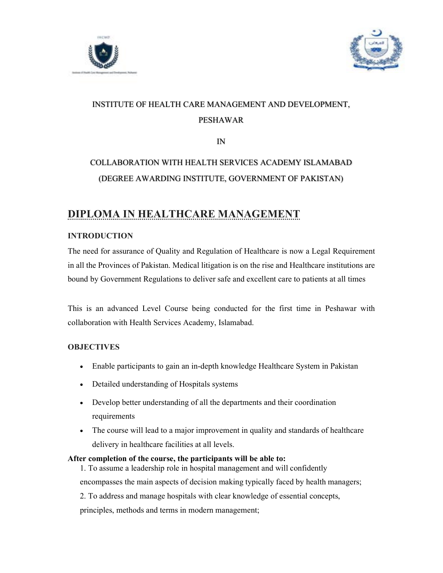



# INSTITUTE OF HEALTH CARE MANAGEMENT AND DEVELOPMENT, PESHAWAR

IN

# COLLABORATION WITH HEALTH SERVICES ACADEMY ISLAMABAD (DEGREE AWARDING INSTITUTE, GOVERNMENT OF PAKISTAN)

# DIPLOMA IN HEALTHCARE MANAGEMENT

## **INTRODUCTION**

The need for assurance of Quality and Regulation of Healthcare is now a Legal Requirement in all the Provinces of Pakistan. Medical litigation is on the rise and Healthcare institutions are bound by Government Regulations to deliver safe and excellent care to patients at all times

This is an advanced Level Course being conducted for the first time in Peshawar with collaboration with Health Services Academy, Islamabad.

## **OBJECTIVES**

- Enable participants to gain an in-depth knowledge Healthcare System in Pakistan
- Detailed understanding of Hospitals systems
- Develop better understanding of all the departments and their coordination requirements
- The course will lead to a major improvement in quality and standards of healthcare delivery in healthcare facilities at all levels.

#### After completion of the course, the participants will be able to:

1. To assume a leadership role in hospital management and will confidently

encompasses the main aspects of decision making typically faced by health managers;

2. To address and manage hospitals with clear knowledge of essential concepts,

principles, methods and terms in modern management;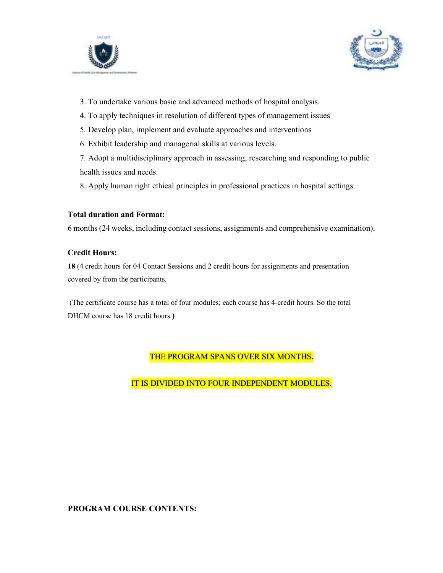



- 3. To undertake various basic and advanced methods of hospital analysis.
- 4. To apply techniques in resolution of different types of management issues
- 5. Develop plan, implement and evaluate approaches and interventions
- 6. Exhibit leadership and managerial skills at various levels.

7. Adopt a multidisciplinary approach in assessing, researching and responding to public health issues and needs.

8. Apply human right ethical principles in professional practices in hospital settings.

#### Total duration and Format:

6 months (24 weeks, including contact sessions, assignments and comprehensive examination).

#### Credit Hours:

18 (4 credit hours for 04 Contact Sessions and 2 credit hours for assignments and presentation covered by from the participants.

 (The certificate course has a total of four modules; each course has 4-credit hours. So the total DHCM course has 18 credit hours.)

## THE PROGRAM SPANS OVER SIX MONTHS.

IT IS DIVIDED INTO FOUR INDEPENDENT MODULES.

#### PROGRAM COURSE CONTENTS: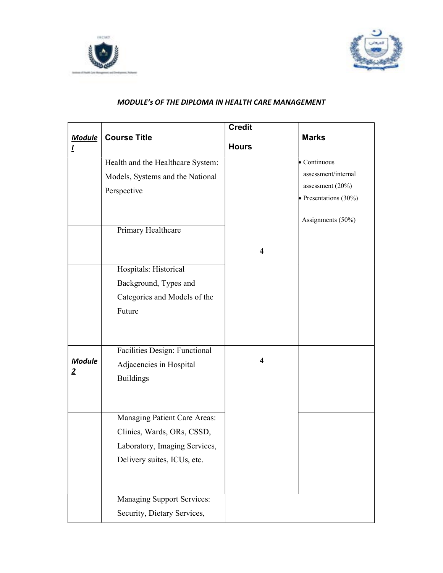



### MODULE's OF THE DIPLOMA IN HEALTH CARE MANAGEMENT

|                | <b>Course Title</b>               | <b>Credit</b>           |                               |
|----------------|-----------------------------------|-------------------------|-------------------------------|
| <b>Module</b>  |                                   | <b>Hours</b>            | <b>Marks</b>                  |
|                | Health and the Healthcare System: |                         | $\bullet$ Continuous          |
|                | Models, Systems and the National  |                         | assessment/internal           |
|                | Perspective                       |                         | assessment $(20\%)$           |
|                |                                   |                         | $\bullet$ Presentations (30%) |
|                |                                   |                         | Assignments (50%)             |
|                | Primary Healthcare                |                         |                               |
|                |                                   | 4                       |                               |
|                | Hospitals: Historical             |                         |                               |
|                | Background, Types and             |                         |                               |
|                | Categories and Models of the      |                         |                               |
|                | Future                            |                         |                               |
|                |                                   |                         |                               |
|                | Facilities Design: Functional     |                         |                               |
| <b>Module</b>  | Adjacencies in Hospital           | $\overline{\mathbf{4}}$ |                               |
| $\overline{2}$ | <b>Buildings</b>                  |                         |                               |
|                |                                   |                         |                               |
|                |                                   |                         |                               |
|                | Managing Patient Care Areas:      |                         |                               |
|                | Clinics, Wards, ORs, CSSD,        |                         |                               |
|                | Laboratory, Imaging Services,     |                         |                               |
|                | Delivery suites, ICUs, etc.       |                         |                               |
|                |                                   |                         |                               |
|                | <b>Managing Support Services:</b> |                         |                               |
|                | Security, Dietary Services,       |                         |                               |
|                |                                   |                         |                               |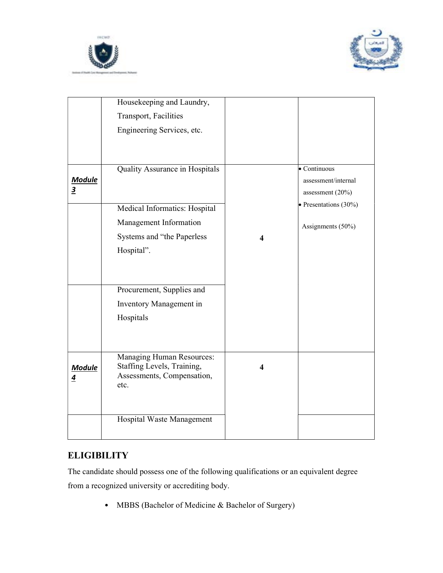



|                                          | Housekeeping and Laundry,<br>Transport, Facilities<br>Engineering Services, etc.                                                                                                                           |                         |                                                                                                                       |
|------------------------------------------|------------------------------------------------------------------------------------------------------------------------------------------------------------------------------------------------------------|-------------------------|-----------------------------------------------------------------------------------------------------------------------|
| <b>Module</b><br>$\overline{\mathbf{3}}$ | Quality Assurance in Hospitals<br>Medical Informatics: Hospital<br>Management Information<br>Systems and "the Paperless<br>Hospital".<br>Procurement, Supplies and<br>Inventory Management in<br>Hospitals | 4                       | $\bullet$ Continuous<br>assessment/internal<br>assessment (20%)<br>$\bullet$ Presentations (30%)<br>Assignments (50%) |
| <b>Module</b><br>$\overline{4}$          | <b>Managing Human Resources:</b><br>Staffing Levels, Training,<br>Assessments, Compensation,<br>etc.<br>Hospital Waste Management                                                                          | $\overline{\mathbf{4}}$ |                                                                                                                       |

# **ELIGIBILITY**

The candidate should possess one of the following qualifications or an equivalent degree from a recognized university or accrediting body.

• MBBS (Bachelor of Medicine & Bachelor of Surgery)